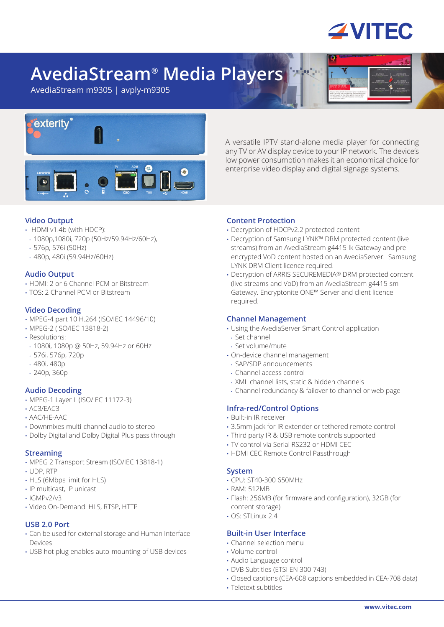

# **AvediaStream® Media Players**

AvediaStream m9305 | avply-m9305



A versatile IPTV stand-alone media player for connecting any TV or AV display device to your IP network. The device's low power consumption makes it an economical choice for enterprise video display and digital signage systems.

# **Video Output**

- HDMI v1.4b (with HDCP):
- 1080p,1080i, 720p (50Hz/59.94Hz/60Hz),
- 576p, 576i (50Hz)
- 480p, 480i (59.94Hz/60Hz)

## **Audio Output**

- HDMI: 2 or 6 Channel PCM or Bitstream
- TOS: 2 Channel PCM or Bitstream

# **Video Decoding**

- MPEG-4 part 10 H.264 (ISO/IEC 14496/10)
- MPEG-2 (ISO/IEC 13818-2)
- Resolutions:
- 1080i, 1080p @ 50Hz, 59.94Hz or 60Hz
- 576i, 576p, 720p
- 480i, 480p
- 240p, 360p

## **Audio Decoding**

- MPEG-1 Layer II (ISO/IEC 11172-3)
- AC3/EAC3
- AAC/HE-AAC
- Downmixes multi-channel audio to stereo
- Dolby Digital and Dolby Digital Plus pass through

## **Streaming**

- MPEG 2 Transport Stream (ISO/IEC 13818-1)
- UDP, RTP
- HLS (6Mbps limit for HLS)
- IP multicast, IP unicast
- $\cdot$  IGMPv2/v3
- Video On-Demand: HLS, RTSP, HTTP

## **USB 2.0 Port**

- Can be used for external storage and Human Interface Devices
- USB hot plug enables auto-mounting of USB devices

# **Content Protection**

- Decryption of HDCPv2.2 protected content
- Decryption of Samsung LYNK™ DRM protected content (live streams) from an AvediaStream g4415-lk Gateway and preencrypted VoD content hosted on an AvediaServer. Samsung LYNK DRM Client licence required.
- Decryption of ARRIS SECUREMEDIA® DRM protected content (live streams and VoD) from an AvediaStream g4415-sm Gateway. Encryptonite ONE™ Server and client licence required.

## **Channel Management**

- Using the AvediaServer Smart Control application
- Set channel
- Set volume/mute
- On-device channel management
- SAP/SDP announcements
- Channel access control
- XML channel lists, static & hidden channels
- Channel redundancy & failover to channel or web page

## **Infra-red/Control Options**

- Built-in IR receiver
- 3.5mm jack for IR extender or tethered remote control
- Third party IR & USB remote controls supported
- TV control via Serial RS232 or HDMI CEC
- HDMI CEC Remote Control Passthrough

## **System**

- CPU: ST40-300 650MHz
- RAM: 512MB
- Flash: 256MB (for firmware and configuration), 32GB (for content storage)
- $\cdot$  OS $\cdot$  STI inux 2.4

# **Built-in User Interface**

- Channel selection menu
- Volume control
- Audio Language control
- DVB Subtitles (ETSI EN 300 743)
- Closed captions (CEA-608 captions embedded in CEA-708 data)
- Teletext subtitles